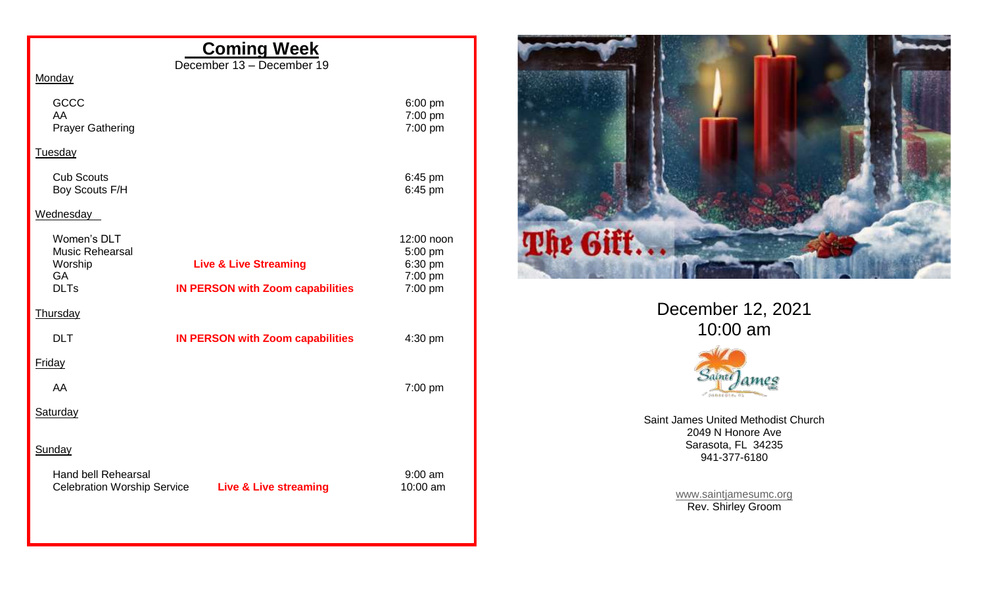|                                                                  | <b>Coming Week</b><br>December 13 - December 19 |                                             |
|------------------------------------------------------------------|-------------------------------------------------|---------------------------------------------|
| Monday                                                           |                                                 |                                             |
| <b>GCCC</b><br>AA<br><b>Prayer Gathering</b>                     |                                                 | $6:00$ pm<br>7:00 pm<br>7:00 pm             |
| <b>Tuesday</b>                                                   |                                                 |                                             |
| <b>Cub Scouts</b><br>Boy Scouts F/H                              |                                                 | 6:45 pm<br>6:45 pm                          |
| Wednesday                                                        |                                                 |                                             |
| Women's DLT<br><b>Music Rehearsal</b><br>Worship<br><b>GA</b>    | <b>Live &amp; Live Streaming</b>                | 12:00 noon<br>5:00 pm<br>6:30 pm<br>7:00 pm |
| <b>DLTs</b>                                                      | <b>IN PERSON with Zoom capabilities</b>         | 7:00 pm                                     |
| Thursday                                                         |                                                 |                                             |
| <b>DLT</b>                                                       | <b>IN PERSON with Zoom capabilities</b>         | 4:30 pm                                     |
| <b>Friday</b>                                                    |                                                 |                                             |
| AA                                                               |                                                 | 7:00 pm                                     |
| Saturday                                                         |                                                 |                                             |
|                                                                  |                                                 |                                             |
| Sunday                                                           |                                                 |                                             |
| <b>Hand bell Rehearsal</b><br><b>Celebration Worship Service</b> | <b>Live &amp; Live streaming</b>                | $9:00$ am<br>10:00 am                       |



December 12, 2021 10:00 am



Saint James United Methodist Church 2049 N Honore Ave Sarasota, FL 34235 941-377-6180

> [www.saintjamesumc.org](http://www.saintjamesumc.org/) Rev. Shirley Groom